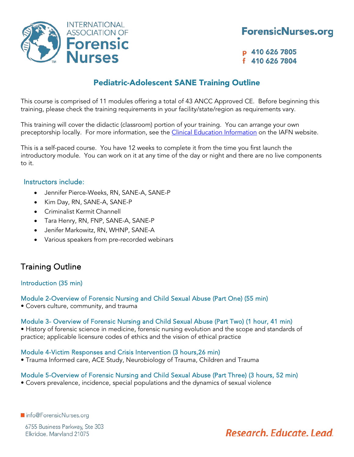

p 410 626 7805 f 410 626 7804

# Pediatric-Adolescent SANE Training Outline

This course is comprised of 11 modules offering a total of 43 ANCC Approved CE. Before beginning this training, please check the training requirements in your facility/state/region as requirements vary.

This training will cover the didactic (classroom) portion of your training. You can arrange your own preceptorship locally. For more information, see the *Clinical Education Information* on the IAFN website.

This is a self-paced course. You have 12 weeks to complete it from the time you first launch the introductory module. You can work on it at any time of the day or night and there are no live components to it.

# Instructors include:

• Jennifer Pierce-Weeks, RN, SANE-A, SANE-P

**INTERNATIONAL** 

**ASSOCIATION OF** 

prensic

- Kim Day, RN, SANE-A, SANE-P
- Criminalist Kermit Channell
- Tara Henry, RN, FNP, SANE-A, SANE-P
- Jenifer Markowitz, RN, WHNP, SANE-A
- Various speakers from pre-recorded webinars

# Training Outline

# Introduction (35 min)

# Module 2-Overview of Forensic Nursing and Child Sexual Abuse (Part One) (55 min)

• Covers culture, community, and trauma

#### Module 3- Overview of Forensic Nursing and Child Sexual Abuse (Part Two) (1 hour, 41 min)

• History of forensic science in medicine, forensic nursing evolution and the scope and standards of practice; applicable licensure codes of ethics and the vision of ethical practice

#### Module 4-Victim Responses and Crisis Intervention (3 hours,26 min)

• Trauma Informed care, ACE Study, Neurobiology of Trauma, Children and Trauma

# Module 5-Overview of Forensic Nursing and Child Sexual Abuse (Part Three) (3 hours, 52 min)

• Covers prevalence, incidence, special populations and the dynamics of sexual violence

ninfo@ForensicNurses.org

6755 Business Parkway, Ste 303 Elkridge, Maryland 21075

# Research, Educate, Lead,